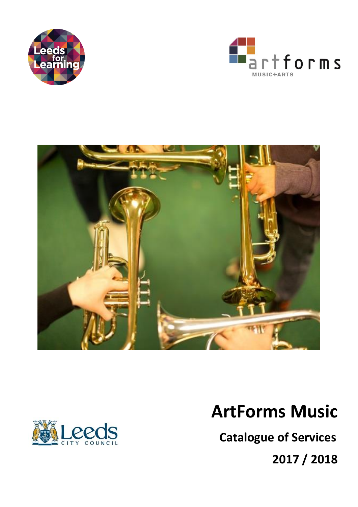







# **ArtForms Music**

 **Catalogue of Services**

**2017 / 2018**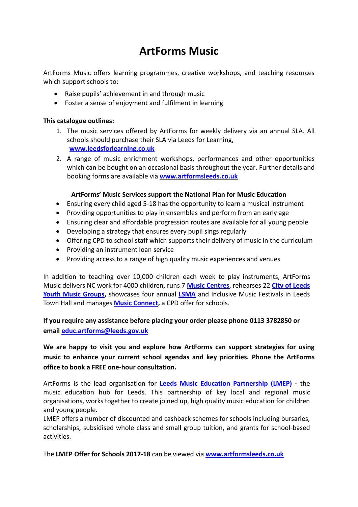### **ArtForms Music**

ArtForms Music offers learning programmes, creative workshops, and teaching resources which support schools to:

- Raise pupils' achievement in and through music
- Foster a sense of enjoyment and fulfilment in learning

#### **This catalogue outlines:**

- 1. The music services offered by ArtForms for weekly delivery via an annual SLA. All schools should purchase their SLA via Leeds for Learning, **[www.leedsforlearning.co.uk](http://www.leedsforlearning.co.uk/)**
- 2. A range of music enrichment workshops, performances and other opportunities which can be bought on an occasional basis throughout the year. Further details and booking forms are available via **[www.artformsleeds.co.uk](http://www.artformsleeds.co.uk/)**

#### **ArtForms' Music Services support the National Plan for Music Education**

- Ensuring every child aged 5-18 has the opportunity to learn a musical instrument
- Providing opportunities to play in ensembles and perform from an early age
- Ensuring clear and affordable progression routes are available for all young people
- Developing a strategy that ensures every pupil sings regularly
- Offering CPD to school staff which supports their delivery of music in the curriculum
- Providing an instrument loan service
- Providing access to a range of high quality music experiences and venues

In addition to teaching over 10,000 children each week to play instruments, ArtForms Music delivers NC work for 4000 children, runs 7 **[Music Centres](http://artformsleeds.co.uk/music/citywide-and-community-music-making/music-centres/)**, rehearses 22 **[City of Leeds](http://artformsleeds.co.uk/music/citywide-and-community-music-making/city-of-leeds-youth-music/)  [Youth Music Groups,](http://artformsleeds.co.uk/music/citywide-and-community-music-making/city-of-leeds-youth-music/)** showcases four annual **[LSMA](http://artformsleeds.co.uk/music/lsma/)** and Inclusive Music Festivals in Leeds Town Hall and manages **[Music Connect,](http://artformsleeds.co.uk/music/offers-for-schools-and-academies/training-and-cpd/)** a CPD offer for schools.

#### **If you require any assistance before placing your order please phone 0113 3782850 or email [educ.artforms@leeds.gov.uk](mailto:educ.artforms@leeds.gov.uk)**

### **We are happy to visit you and explore how ArtForms can support strategies for using music to enhance your current school agendas and key priorities. Phone the ArtForms office to book a FREE one-hour consultation.**

ArtForms is the lead organisation for **[Leeds Music Education Partnership \(LMEP\)](http://artformsleeds.co.uk/networks/leeds-music-education-partnership/) -** the music education hub for Leeds. This partnership of key local and regional music organisations, works together to create joined up, high quality music education for children and young people.

LMEP offers a number of discounted and cashback schemes for schools including bursaries, scholarships, subsidised whole class and small group tuition, and grants for school-based activities.

The **LMEP Offer for Schools 2017-18** can be viewed via **[www.artformsleeds.co.uk](http://www.artformsleeds.co.uk/)**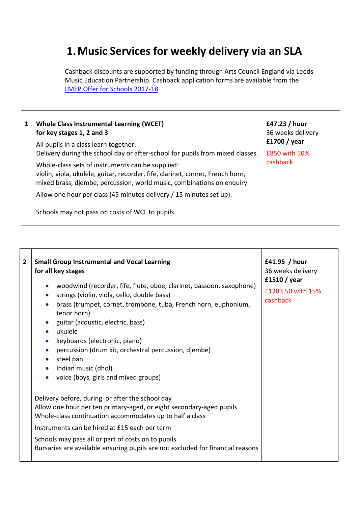## **1.Music Services for weekly delivery via an SLA**

Cashback discounts are supported by funding through Arts Council England via Leeds Music Education Partnership. Cashback application forms are available from the [LMEP Offer for Schools 2017-18](../../../Leeds%20Music%20Education%20Partnership%20(Music%20Hub)/Activities%202017-18/LMEP%20offer%20to%20schools%202017-18.docx)

| 1 | <b>Whole Class Instrumental Learning (WCET)</b><br>for key stages 1, 2 and 3<br>All pupils in a class learn together.                                                                                       | £47.23 / hour<br>36 weeks delivery<br>£1700 / year |
|---|-------------------------------------------------------------------------------------------------------------------------------------------------------------------------------------------------------------|----------------------------------------------------|
|   | Delivery during the school day or after-school for pupils from mixed classes.                                                                                                                               | £850 with 50%                                      |
|   | Whole-class sets of instruments can be supplied:<br>violin, viola, ukulele, guitar, recorder, fife, clarinet, cornet, French horn,<br>mixed brass, djembe, percussion, world music, combinations on enquiry | cashback                                           |
|   | Allow one hour per class (45 minutes delivery / 15 minutes set up).                                                                                                                                         |                                                    |
|   | Schools may not pass on costs of WCL to pupils.                                                                                                                                                             |                                                    |

 $\mathbf{I}$ 

| $\overline{2}$ | <b>Small Group Instrumental and Vocal Learning</b><br>for all key stages<br>woodwind (recorder, fife, flute, oboe, clarinet, bassoon, saxophone)<br>strings (violin, viola, cello, double bass)<br>brass (trumpet, cornet, trombone, tuba, French horn, euphonium,<br>tenor horn)<br>guitar (acoustic, electric, bass)<br>ukulele<br>keyboards (electronic, piano)<br>percussion (drum kit, orchestral percussion, djembe)<br>steel pan<br>Indian music (dhol)<br>$\bullet$<br>voice (boys, girls and mixed groups) | £41.95 / hour<br>36 weeks delivery<br>£1510 / year<br>£1283.50 with 15%<br>cashback |
|----------------|---------------------------------------------------------------------------------------------------------------------------------------------------------------------------------------------------------------------------------------------------------------------------------------------------------------------------------------------------------------------------------------------------------------------------------------------------------------------------------------------------------------------|-------------------------------------------------------------------------------------|
|                | Delivery before, during or after the school day<br>Allow one hour per ten primary-aged, or eight secondary-aged pupils<br>Whole-class continuation accommodates up to half a class<br>Instruments can be hired at £15 each per term<br>Schools may pass all or part of costs on to pupils<br>Bursaries are available ensuring pupils are not excluded for financial reasons                                                                                                                                         |                                                                                     |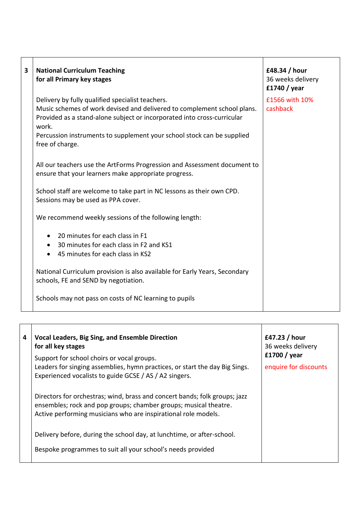| 3 | <b>National Curriculum Teaching</b><br>for all Primary key stages                                                                                                                                                                                                                                            | £48.34 / hour<br>36 weeks delivery<br>£1740 / year |
|---|--------------------------------------------------------------------------------------------------------------------------------------------------------------------------------------------------------------------------------------------------------------------------------------------------------------|----------------------------------------------------|
|   | Delivery by fully qualified specialist teachers.<br>Music schemes of work devised and delivered to complement school plans.<br>Provided as a stand-alone subject or incorporated into cross-curricular<br>work.<br>Percussion instruments to supplement your school stock can be supplied<br>free of charge. | £1566 with 10%<br>cashback                         |
|   | All our teachers use the ArtForms Progression and Assessment document to<br>ensure that your learners make appropriate progress.                                                                                                                                                                             |                                                    |
|   | School staff are welcome to take part in NC lessons as their own CPD.<br>Sessions may be used as PPA cover.                                                                                                                                                                                                  |                                                    |
|   | We recommend weekly sessions of the following length:                                                                                                                                                                                                                                                        |                                                    |
|   | 20 minutes for each class in F1<br>30 minutes for each class in F2 and KS1<br>45 minutes for each class in KS2                                                                                                                                                                                               |                                                    |
|   | National Curriculum provision is also available for Early Years, Secondary<br>schools, FE and SEND by negotiation.                                                                                                                                                                                           |                                                    |
|   | Schools may not pass on costs of NC learning to pupils                                                                                                                                                                                                                                                       |                                                    |

| 4 | <b>Vocal Leaders, Big Sing, and Ensemble Direction</b><br>for all key stages                                                                                                                                     | £47.23 / hour<br>36 weeks delivery    |
|---|------------------------------------------------------------------------------------------------------------------------------------------------------------------------------------------------------------------|---------------------------------------|
|   | Support for school choirs or vocal groups.<br>Leaders for singing assemblies, hymn practices, or start the day Big Sings.<br>Experienced vocalists to guide GCSE / AS / A2 singers.                              | £1700 / year<br>enquire for discounts |
|   | Directors for orchestras; wind, brass and concert bands; folk groups; jazz<br>ensembles; rock and pop groups; chamber groups; musical theatre.<br>Active performing musicians who are inspirational role models. |                                       |
|   | Delivery before, during the school day, at lunchtime, or after-school.                                                                                                                                           |                                       |
|   | Bespoke programmes to suit all your school's needs provided                                                                                                                                                      |                                       |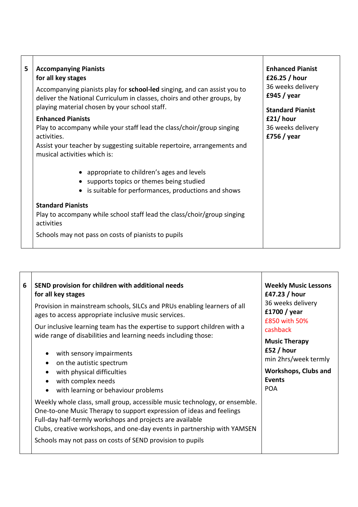| 5 | <b>Accompanying Pianists</b><br>for all key stages<br>Accompanying pianists play for school-led singing, and can assist you to<br>deliver the National Curriculum in classes, choirs and other groups, by<br>playing material chosen by your school staff. | <b>Enhanced Pianist</b><br>£26.25 / hour<br>36 weeks delivery<br>£945 / year<br><b>Standard Pianist</b> |
|---|------------------------------------------------------------------------------------------------------------------------------------------------------------------------------------------------------------------------------------------------------------|---------------------------------------------------------------------------------------------------------|
|   | <b>Enhanced Pianists</b><br>Play to accompany while your staff lead the class/choir/group singing<br>activities.<br>Assist your teacher by suggesting suitable repertoire, arrangements and<br>musical activities which is:                                | £21/hour<br>36 weeks delivery<br>£756 / year                                                            |
|   | • appropriate to children's ages and levels<br>• supports topics or themes being studied<br>• is suitable for performances, productions and shows                                                                                                          |                                                                                                         |
|   | <b>Standard Pianists</b><br>Play to accompany while school staff lead the class/choir/group singing<br>activities                                                                                                                                          |                                                                                                         |
|   | Schools may not pass on costs of pianists to pupils                                                                                                                                                                                                        |                                                                                                         |

| 6 | SEND provision for children with additional needs<br>for all key stages<br>Provision in mainstream schools, SILCs and PRUs enabling learners of all<br>ages to access appropriate inclusive music services.<br>Our inclusive learning team has the expertise to support children with a                                                                  | <b>Weekly Music Lessons</b><br>£47.23 / hour<br>36 weeks delivery<br>£1700 / year<br>£850 with 50%                                   |
|---|----------------------------------------------------------------------------------------------------------------------------------------------------------------------------------------------------------------------------------------------------------------------------------------------------------------------------------------------------------|--------------------------------------------------------------------------------------------------------------------------------------|
|   | wide range of disabilities and learning needs including those:<br>with sensory impairments<br>on the autistic spectrum<br>with physical difficulties<br>with complex needs<br>with learning or behaviour problems                                                                                                                                        | cashback<br><b>Music Therapy</b><br>£52 / hour<br>min 2hrs/week termly<br><b>Workshops, Clubs and</b><br><b>Events</b><br><b>POA</b> |
|   | Weekly whole class, small group, accessible music technology, or ensemble.<br>One-to-one Music Therapy to support expression of ideas and feelings<br>Full-day half-termly workshops and projects are available<br>Clubs, creative workshops, and one-day events in partnership with YAMSEN<br>Schools may not pass on costs of SEND provision to pupils |                                                                                                                                      |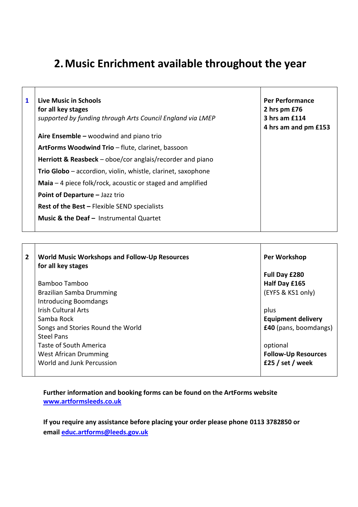# **2.Music Enrichment available throughout the year**

| 1 | Live Music in Schools<br>for all key stages<br>supported by funding through Arts Council England via LMEP | <b>Per Performance</b><br>2 hrs pm £76<br>3 hrs am £114<br>4 hrs am and pm £153 |
|---|-----------------------------------------------------------------------------------------------------------|---------------------------------------------------------------------------------|
|   | Aire Ensemble – woodwind and piano trio                                                                   |                                                                                 |
|   | ArtForms Woodwind Trio - flute, clarinet, bassoon                                                         |                                                                                 |
|   | <b>Herriott &amp; Reasbeck</b> – oboe/cor anglais/recorder and piano                                      |                                                                                 |
|   | Trio Globo – accordion, violin, whistle, clarinet, saxophone                                              |                                                                                 |
|   | <b>Maia</b> $-$ 4 piece folk/rock, acoustic or staged and amplified                                       |                                                                                 |
|   | Point of Departure - Jazz trio                                                                            |                                                                                 |
|   | <b>Rest of the Best - Flexible SEND specialists</b>                                                       |                                                                                 |
|   | Music & the Deaf - Instrumental Quartet                                                                   |                                                                                 |

| $\mathbf{2}$ | <b>World Music Workshops and Follow-Up Resources</b><br>for all key stages | Per Workshop               |
|--------------|----------------------------------------------------------------------------|----------------------------|
|              |                                                                            | Full Day £280              |
|              | Bamboo Tamboo                                                              | Half Day £165              |
|              | Brazilian Samba Drumming                                                   | (EYFS & KS1 only)          |
|              | <b>Introducing Boomdangs</b>                                               |                            |
|              | <b>Irish Cultural Arts</b>                                                 | plus                       |
|              | Samba Rock                                                                 | <b>Equipment delivery</b>  |
|              | Songs and Stories Round the World                                          | £40 (pans, boomdangs)      |
|              | <b>Steel Pans</b>                                                          |                            |
|              | Taste of South America                                                     | optional                   |
|              | <b>West African Drumming</b>                                               | <b>Follow-Up Resources</b> |
|              | World and Junk Percussion                                                  | £25 / set / week           |

**Further information and booking forms can be found on the ArtForms website [www.artformsleeds.co.uk](http://www.artformsleeds.co.uk/)**

**If you require any assistance before placing your order please phone 0113 3782850 or email [educ.artforms@leeds.gov.uk](mailto:educ.artforms@leeds.gov.uk)**